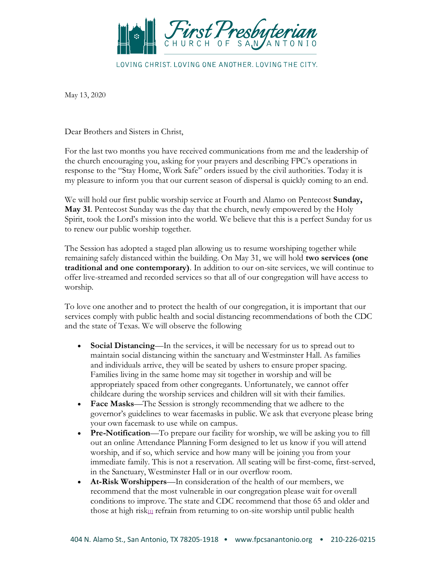

LOVING CHRIST, LOVING ONE ANOTHER, LOVING THE CITY.

May 13, 2020

Dear Brothers and Sisters in Christ,

For the last two months you have received communications from me and the leadership of the church encouraging you, asking for your prayers and describing FPC's operations in response to the "Stay Home, Work Safe" orders issued by the civil authorities. Today it is my pleasure to inform you that our current season of dispersal is quickly coming to an end.

We will hold our first public worship service at Fourth and Alamo on Pentecost **Sunday, May 31**. Pentecost Sunday was the day that the church, newly empowered by the Holy Spirit, took the Lord's mission into the world. We believe that this is a perfect Sunday for us to renew our public worship together.

The Session has adopted a staged plan allowing us to resume worshiping together while remaining safely distanced within the building. On May 31, we will hold **two services (one traditional and one contemporary)**. In addition to our on-site services, we will continue to offer live-streamed and recorded services so that all of our congregation will have access to worship.

To love one another and to protect the health of our congregation, it is important that our services comply with public health and social distancing recommendations of both the CDC and the state of Texas. We will observe the following

- **Social Distancing—In** the services, it will be necessary for us to spread out to maintain social distancing within the sanctuary and Westminster Hall. As families and individuals arrive, they will be seated by ushers to ensure proper spacing. Families living in the same home may sit together in worship and will be appropriately spaced from other congregants. Unfortunately, we cannot offer childcare during the worship services and children will sit with their families.
- **Face Masks**—The Session is strongly recommending that we adhere to the governor's guidelines to wear facemasks in public. We ask that everyone please bring your own facemask to use while on campus.
- **Pre-Notification**—To prepare our facility for worship, we will be asking you to fill out an online Attendance Planning Form designed to let us know if you will attend worship, and if so, which service and how many will be joining you from your immediate family. This is not a reservation. All seating will be first-come, first-served, in the Sanctuary, Westminster Hall or in our overflow room.
- **At-Risk Worshippers**—In consideration of the health of our members, we recommend that the most vulnerable in our congregation please wait for overall conditions to improve. The state and CDC recommend that those 65 and older and those at high risk<sub>[\[1\]](x-webdoc://69CCA6B4-1E7F-43F9-BC89-C244C1833B45/#_ftn1)</sub> refrain from returning to on-site worship until public health